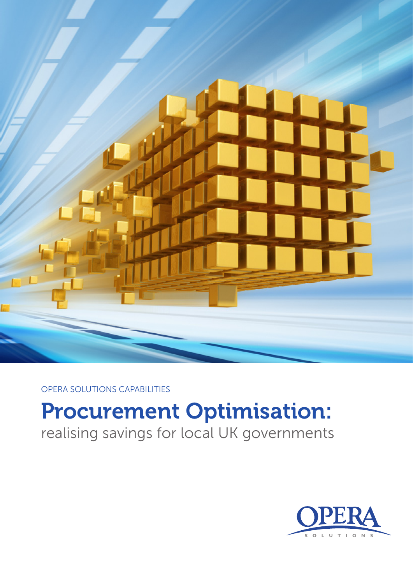

OPERA SOLUTIONS CAPABILITIES

# Procurement Optimisation:

realising savings for local UK governments

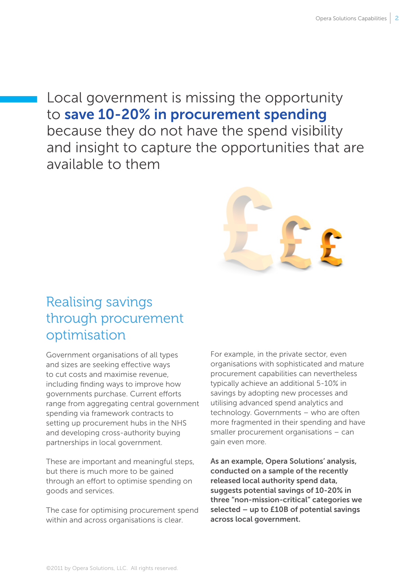# Local government is missing the opportunity to save 10-20% in procurement spending because they do not have the spend visibility and insight to capture the opportunities that are available to them



# Realising savings through procurement optimisation

Government organisations of all types and sizes are seeking effective ways to cut costs and maximise revenue, including finding ways to improve how governments purchase. Current efforts range from aggregating central government spending via framework contracts to setting up procurement hubs in the NHS and developing cross-authority buying partnerships in local government.

These are important and meaningful steps, but there is much more to be gained through an effort to optimise spending on goods and services.

The case for optimising procurement spend within and across organisations is clear.

For example, in the private sector, even organisations with sophisticated and mature procurement capabilities can nevertheless typically achieve an additional 5-10% in savings by adopting new processes and utilising advanced spend analytics and technology. Governments – who are often more fragmented in their spending and have smaller procurement organisations – can gain even more.

As an example, Opera Solutions' analysis, conducted on a sample of the recently released local authority spend data, suggests potential savings of 10-20% in three "non-mission-critical" categories we selected – up to £10B of potential savings across local government.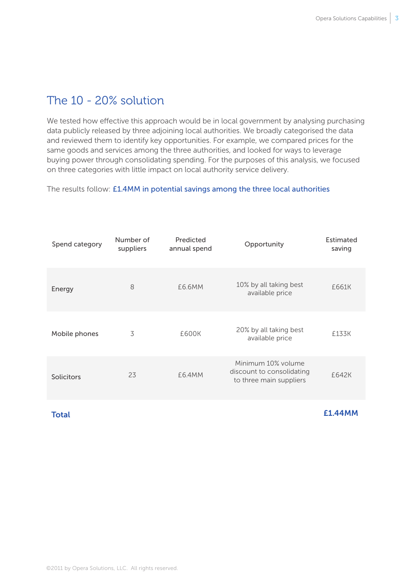## The 10 - 20% solution

We tested how effective this approach would be in local government by analysing purchasing data publicly released by three adjoining local authorities. We broadly categorised the data and reviewed them to identify key opportunities. For example, we compared prices for the same goods and services among the three authorities, and looked for ways to leverage buying power through consolidating spending. For the purposes of this analysis, we focused on three categories with little impact on local authority service delivery.

The results follow: £1.4MM in potential savings among the three local authorities

| Spend category    | Number of<br>suppliers | Predicted<br>annual spend | Opportunity                                                                | Estimated<br>saving |
|-------------------|------------------------|---------------------------|----------------------------------------------------------------------------|---------------------|
| Energy            | 8                      | £6.6MM                    | 10% by all taking best<br>available price                                  | £661K               |
| Mobile phones     | 3                      | £600K                     | 20% by all taking best<br>available price                                  | £133K               |
| <b>Solicitors</b> | 23                     | £6.4MM                    | Minimum 10% volume<br>discount to consolidating<br>to three main suppliers | £642K               |

**Total** 

£1.44MM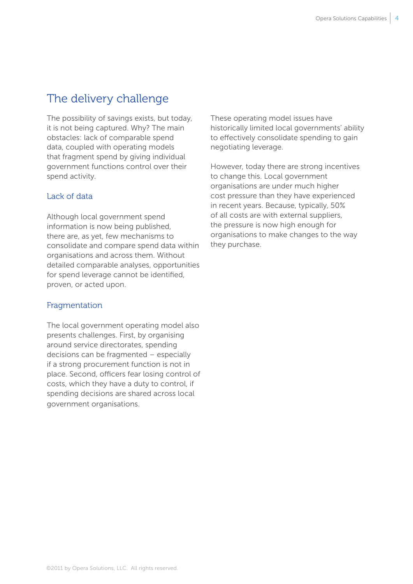## The delivery challenge

The possibility of savings exists, but today, it is not being captured. Why? The main obstacles: lack of comparable spend data, coupled with operating models that fragment spend by giving individual government functions control over their spend activity.

#### Lack of data

Although local government spend information is now being published, there are, as yet, few mechanisms to consolidate and compare spend data within organisations and across them. Without detailed comparable analyses, opportunities for spend leverage cannot be identified, proven, or acted upon.

#### Fragmentation

The local government operating model also presents challenges. First, by organising around service directorates, spending decisions can be fragmented – especially if a strong procurement function is not in place. Second, officers fear losing control of costs, which they have a duty to control, if spending decisions are shared across local government organisations.

These operating model issues have historically limited local governments' ability to effectively consolidate spending to gain negotiating leverage.

However, today there are strong incentives to change this. Local government organisations are under much higher cost pressure than they have experienced in recent years. Because, typically, 50% of all costs are with external suppliers, the pressure is now high enough for organisations to make changes to the way they purchase.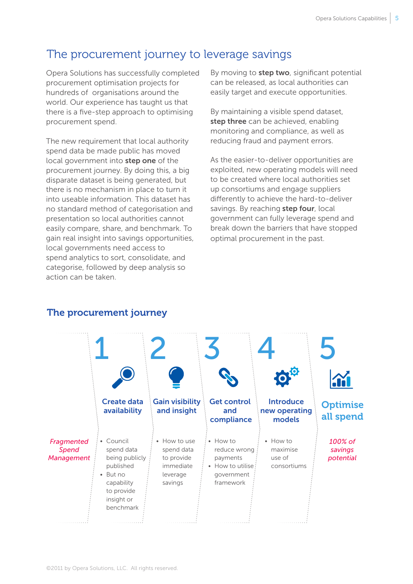## The procurement journey to leverage savings

Opera Solutions has successfully completed procurement optimisation projects for hundreds of organisations around the world. Our experience has taught us that there is a five-step approach to optimising procurement spend.

The new requirement that local authority spend data be made public has moved local government into step one of the procurement journey. By doing this, a big disparate dataset is being generated, but there is no mechanism in place to turn it into useable information. This dataset has no standard method of categorisation and presentation so local authorities cannot easily compare, share, and benchmark. To gain real insight into savings opportunities, local governments need access to spend analytics to sort, consolidate, and categorise, followed by deep analysis so action can be taken.

By moving to step two, significant potential can be released, as local authorities can easily target and execute opportunities.

By maintaining a visible spend dataset, step three can be achieved, enabling monitoring and compliance, as well as reducing fraud and payment errors.

As the easier-to-deliver opportunities are exploited, new operating models will need to be created where local authorities set up consortiums and engage suppliers differently to achieve the hard-to-deliver savings. By reaching step four, local government can fully leverage spend and break down the barriers that have stopped optimal procurement in the past.



## The procurement journey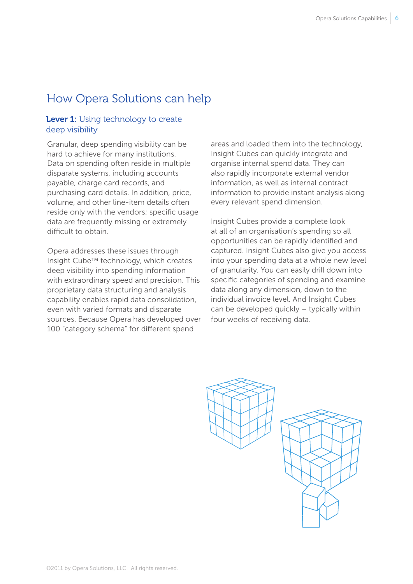## How Opera Solutions can help

## Lever 1: Using technology to create deep visibility

Granular, deep spending visibility can be hard to achieve for many institutions. Data on spending often reside in multiple disparate systems, including accounts payable, charge card records, and purchasing card details. In addition, price, volume, and other line-item details often reside only with the vendors; specific usage data are frequently missing or extremely difficult to obtain.

Opera addresses these issues through Insight Cube™ technology, which creates deep visibility into spending information with extraordinary speed and precision. This proprietary data structuring and analysis capability enables rapid data consolidation, even with varied formats and disparate sources. Because Opera has developed over 100 "category schema" for different spend

areas and loaded them into the technology, Insight Cubes can quickly integrate and organise internal spend data. They can also rapidly incorporate external vendor information, as well as internal contract information to provide instant analysis along every relevant spend dimension.

Insight Cubes provide a complete look at all of an organisation's spending so all opportunities can be rapidly identified and captured. Insight Cubes also give you access into your spending data at a whole new level of granularity. You can easily drill down into specific categories of spending and examine data along any dimension, down to the individual invoice level. And Insight Cubes can be developed quickly – typically within four weeks of receiving data.

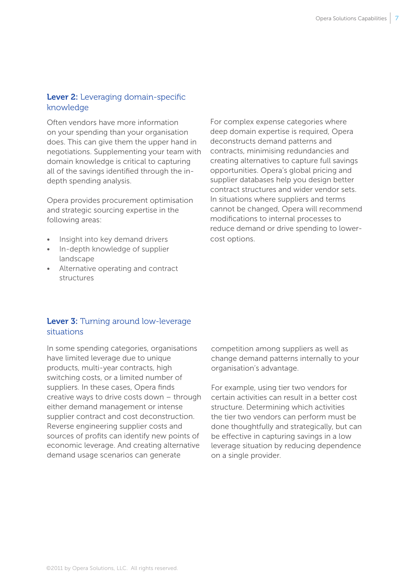#### Lever 2: Leveraging domain-specific knowledge

Often vendors have more information on your spending than your organisation does. This can give them the upper hand in negotiations. Supplementing your team with domain knowledge is critical to capturing all of the savings identified through the indepth spending analysis.

Opera provides procurement optimisation and strategic sourcing expertise in the following areas:

- Insight into key demand drivers
- In-depth knowledge of supplier landscape
- • Alternative operating and contract structures

For complex expense categories where deep domain expertise is required, Opera deconstructs demand patterns and contracts, minimising redundancies and creating alternatives to capture full savings opportunities. Opera's global pricing and supplier databases help you design better contract structures and wider vendor sets. In situations where suppliers and terms cannot be changed, Opera will recommend modifications to internal processes to reduce demand or drive spending to lowercost options.

## Lever 3: Turning around low-leverage situations

In some spending categories, organisations have limited leverage due to unique products, multi-year contracts, high switching costs, or a limited number of suppliers. In these cases, Opera finds creative ways to drive costs down – through either demand management or intense supplier contract and cost deconstruction. Reverse engineering supplier costs and sources of profits can identify new points of economic leverage. And creating alternative demand usage scenarios can generate

competition among suppliers as well as change demand patterns internally to your organisation's advantage.

For example, using tier two vendors for certain activities can result in a better cost structure. Determining which activities the tier two vendors can perform must be done thoughtfully and strategically, but can be effective in capturing savings in a low leverage situation by reducing dependence on a single provider.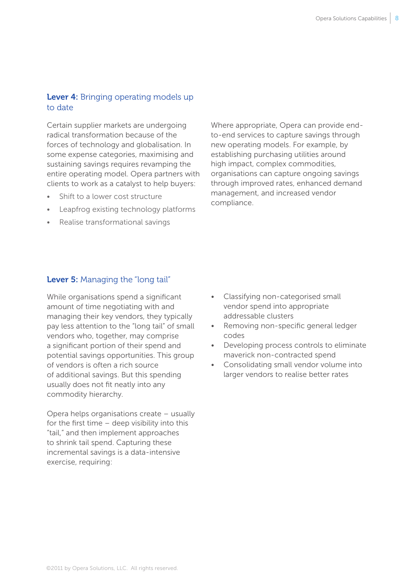## Lever 4: Bringing operating models up to date

Certain supplier markets are undergoing radical transformation because of the forces of technology and globalisation. In some expense categories, maximising and sustaining savings requires revamping the entire operating model. Opera partners with clients to work as a catalyst to help buyers:

- Shift to a lower cost structure
- Leapfrog existing technology platforms
- Realise transformational savings

Where appropriate, Opera can provide endto-end services to capture savings through new operating models. For example, by establishing purchasing utilities around high impact, complex commodities, organisations can capture ongoing savings through improved rates, enhanced demand management, and increased vendor compliance.

### Lever 5: Managing the "long tail"

While organisations spend a significant amount of time negotiating with and managing their key vendors, they typically pay less attention to the "long tail" of small vendors who, together, may comprise a significant portion of their spend and potential savings opportunities. This group of vendors is often a rich source of additional savings. But this spending usually does not fit neatly into any commodity hierarchy.

Opera helps organisations create – usually for the first time – deep visibility into this "tail," and then implement approaches to shrink tail spend. Capturing these incremental savings is a data-intensive exercise, requiring:

- Classifying non-categorised small vendor spend into appropriate addressable clusters
- Removing non-specific general ledger codes
- • Developing process controls to eliminate maverick non-contracted spend
- Consolidating small vendor volume into larger vendors to realise better rates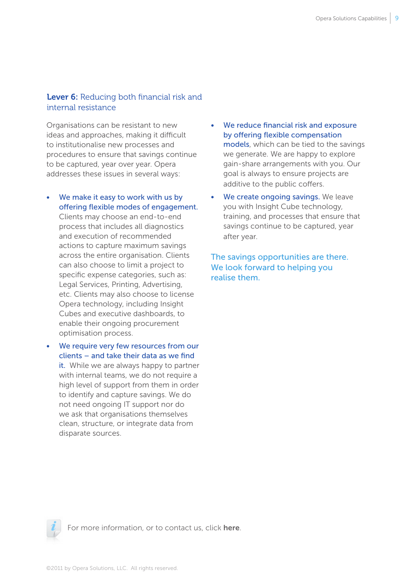#### Lever 6: Reducing both financial risk and internal resistance

Organisations can be resistant to new ideas and approaches, making it difficult to institutionalise new processes and procedures to ensure that savings continue to be captured, year over year. Opera addresses these issues in several ways:

• We make it easy to work with us by offering flexible modes of engagement.

Clients may choose an end-to-end process that includes all diagnostics and execution of recommended actions to capture maximum savings across the entire organisation. Clients can also choose to limit a project to specific expense categories, such as: Legal Services, Printing, Advertising, etc. Clients may also choose to license Opera technology, including Insight Cubes and executive dashboards, to enable their ongoing procurement optimisation process.

• We require very few resources from our clients – and take their data as we find it. While we are always happy to partner with internal teams, we do not require a high level of support from them in order to identify and capture savings. We do not need ongoing IT support nor do we ask that organisations themselves clean, structure, or integrate data from disparate sources.

- We reduce financial risk and exposure by offering flexible compensation models, which can be tied to the savings we generate. We are happy to explore gain-share arrangements with you. Our goal is always to ensure projects are additive to the public coffers.
- We create ongoing savings. We leave you with Insight Cube technology, training, and processes that ensure that savings continue to be captured, year after year.

The savings opportunities are there. We look forward to helping you realise them.



For more information, or to contact us, click [here](http://www.operasolutions.com/contact_us.html).